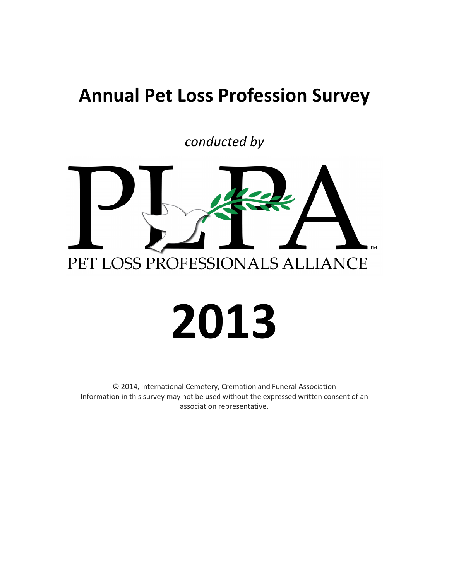### **Annual Pet Loss Profession Survey**

conducted by



## 2013

© 2014, International Cemetery, Cremation and Funeral Association Information in this survey may not be used without the expressed written consent of an association representative.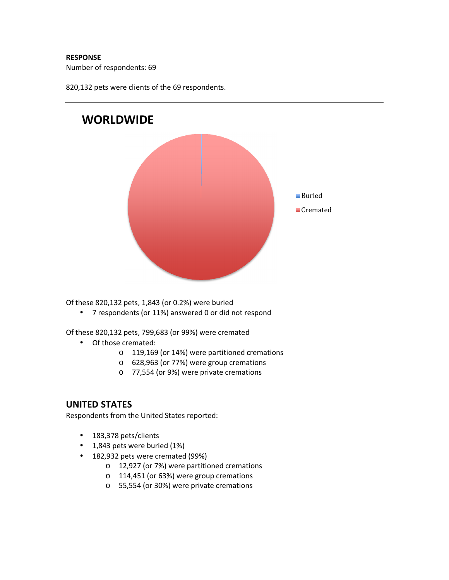### RESPONSE

Number of respondents: 69

820,132 pets were clients of the 69 respondents.

# WORLDWIDE **Buried**  $\blacksquare$  Cremated

Of these 820,132 pets, 1,843 (or 0.2%) were buried

• 7 respondents (or 11%) answered 0 or did not respond

Of these 820,132 pets, 799,683 (or 99%) were cremated

- Of those cremated:
	- o 119,169 (or 14%) were partitioned cremations
	- o 628,963 (or 77%) were group cremations
	- o 77,554 (or 9%) were private cremations

### UNITED STATES

Respondents from the United States reported:

- 183,378 pets/clients
- 1,843 pets were buried (1%)
- 182,932 pets were cremated (99%)
	- o 12,927 (or 7%) were partitioned cremations
	- o 114,451 (or 63%) were group cremations
	- o 55,554 (or 30%) were private cremations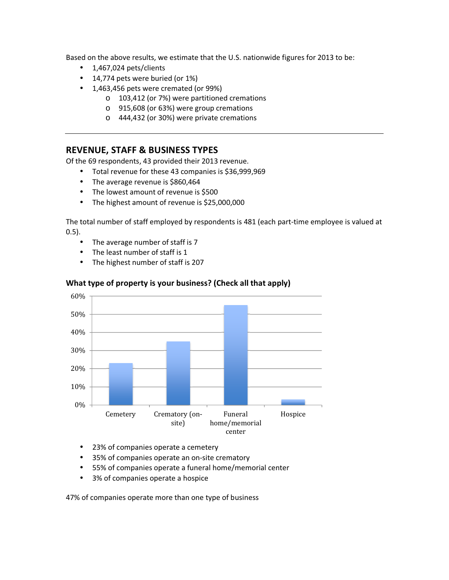Based on the above results, we estimate that the U.S. nationwide figures for 2013 to be:

- $\bullet$  1,467,024 pets/clients
- $\bullet$  14,774 pets were buried (or 1%)
- 1,463,456 pets were cremated (or 99%)
	- o 103,412 (or 7%) were partitioned cremations
	- o 915,608 (or 63%) were group cremations
	- o 444,432 (or 30%) were private cremations

### **REVENUE, STAFF & BUSINESS TYPES**

Of the 69 respondents, 43 provided their 2013 revenue.

- Total revenue for these 43 companies is \$36,999,969
- The average revenue is \$860,464
- The lowest amount of revenue is \$500
- The highest amount of revenue is \$25,000,000

The total number of staff employed by respondents is 481 (each part-time employee is valued at  $0.5$ ).

- $\bullet$  The average number of staff is 7
- The least number of staff is 1
- The highest number of staff is 207



### What type of property is your business? (Check all that apply)

- 23% of companies operate a cemetery
- 35% of companies operate an on-site crematory
- 55% of companies operate a funeral home/memorial center
- 3% of companies operate a hospice  $\bullet$

47% of companies operate more than one type of business